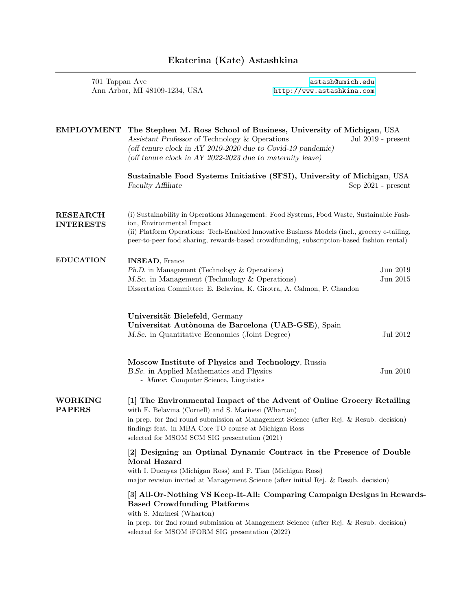## Ekaterina (Kate) Astashkina

701 Tappan Ave <astash@umich.edu>

| Ann Arbor, MI 48109-1234, USA       |                                                                                                                                                                                                                                                                                                                                    | http://www.astashkina.com |                        |
|-------------------------------------|------------------------------------------------------------------------------------------------------------------------------------------------------------------------------------------------------------------------------------------------------------------------------------------------------------------------------------|---------------------------|------------------------|
|                                     |                                                                                                                                                                                                                                                                                                                                    |                           |                        |
| <b>EMPLOYMENT</b>                   | The Stephen M. Ross School of Business, University of Michigan, USA<br>Assistant Professor of Technology & Operations<br>(off tenure clock in AY 2019-2020 due to Covid-19 pandemic)<br>(off tenure clock in AY 2022-2023 due to maternity leave)                                                                                  |                           | Jul 2019 - present     |
|                                     | Sustainable Food Systems Initiative (SFSI), University of Michigan, USA<br>Faculty Affiliate                                                                                                                                                                                                                                       |                           | $Sep 2021$ - $present$ |
| <b>RESEARCH</b><br><b>INTERESTS</b> | (i) Sustainability in Operations Management: Food Systems, Food Waste, Sustainable Fash-<br>ion, Environmental Impact<br>(ii) Platform Operations: Tech-Enabled Innovative Business Models (incl., grocery e-tailing,<br>peer-to-peer food sharing, rewards-based crowdfunding, subscription-based fashion rental)                 |                           |                        |
| <b>EDUCATION</b>                    | <b>INSEAD, France</b><br>Ph.D. in Management (Technology & Operations)<br>M.Sc. in Management (Technology & Operations)<br>Dissertation Committee: E. Belavina, K. Girotra, A. Calmon, P. Chandon                                                                                                                                  |                           | Jun 2019<br>Jun 2015   |
|                                     | Universität Bielefeld, Germany<br>Universitat Autònoma de Barcelona (UAB-GSE), Spain<br>M.Sc. in Quantitative Economics (Joint Degree)                                                                                                                                                                                             |                           | Jul 2012               |
|                                     | Moscow Institute of Physics and Technology, Russia<br>B.Sc. in Applied Mathematics and Physics<br>- Minor: Computer Science, Linguistics                                                                                                                                                                                           |                           | Jun 2010               |
| WORKING<br><b>PAPERS</b>            | [1] The Environmental Impact of the Advent of Online Grocery Retailing<br>with E. Belavina (Cornell) and S. Marinesi (Wharton)<br>in prep. for 2nd round submission at Management Science (after Rej. & Resub. decision)<br>findings feat. in MBA Core TO course at Michigan Ross<br>selected for MSOM SCM SIG presentation (2021) |                           |                        |
|                                     | [2] Designing an Optimal Dynamic Contract in the Presence of Double<br>Moral Hazard<br>with I. Duenyas (Michigan Ross) and F. Tian (Michigan Ross)<br>major revision invited at Management Science (after initial Rej. & Resub. decision)                                                                                          |                           |                        |
|                                     | [3] All-Or-Nothing VS Keep-It-All: Comparing Campaign Designs in Rewards-<br><b>Based Crowdfunding Platforms</b><br>with S. Marinesi (Wharton)<br>in prep. for 2nd round submission at Management Science (after Rej. & Resub. decision)<br>selected for MSOM iFORM SIG presentation (2022)                                        |                           |                        |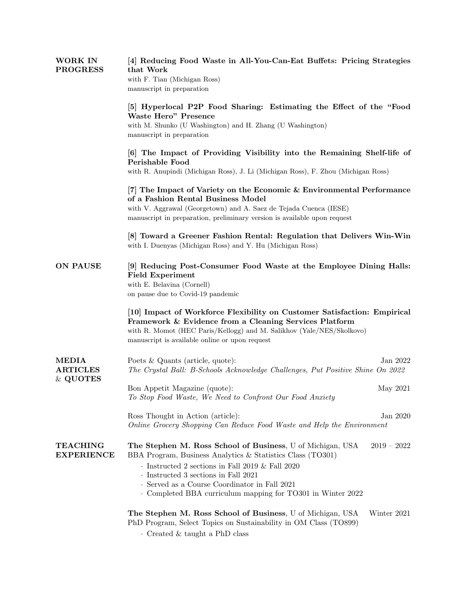| <b>WORK IN</b><br><b>PROGRESS</b>           | [4] Reducing Food Waste in All-You-Can-Eat Buffets: Pricing Strategies<br>that Work<br>with F. Tian (Michigan Ross)<br>manuscript in preparation                                                                                                                                                                                                                |  |
|---------------------------------------------|-----------------------------------------------------------------------------------------------------------------------------------------------------------------------------------------------------------------------------------------------------------------------------------------------------------------------------------------------------------------|--|
|                                             | [5] Hyperlocal P2P Food Sharing: Estimating the Effect of the "Food"<br><b>Waste Hero" Presence</b><br>with M. Shunko (U Washington) and H. Zhang (U Washington)<br>manuscript in preparation                                                                                                                                                                   |  |
|                                             | [6] The Impact of Providing Visibility into the Remaining Shelf-life of<br>Perishable Food<br>with R. Anupindi (Michigan Ross), J. Li (Michigan Ross), F. Zhou (Michigan Ross)                                                                                                                                                                                  |  |
|                                             | [7] The Impact of Variety on the Economic & Environmental Performance<br>of a Fashion Rental Business Model<br>with V. Aggrawal (Georgetown) and A. Saez de Tejada Cuenca (IESE)<br>manuscript in preparation, preliminary version is available upon request                                                                                                    |  |
|                                             | [8] Toward a Greener Fashion Rental: Regulation that Delivers Win-Win<br>with I. Duenyas (Michigan Ross) and Y. Hu (Michigan Ross)                                                                                                                                                                                                                              |  |
| <b>ON PAUSE</b>                             | [9] Reducing Post-Consumer Food Waste at the Employee Dining Halls:<br><b>Field Experiment</b><br>with E. Belavina (Cornell)<br>on pause due to Covid-19 pandemic                                                                                                                                                                                               |  |
|                                             | [10] Impact of Workforce Flexibility on Customer Satisfaction: Empirical<br>Framework & Evidence from a Cleaning Services Platform<br>with R. Momot (HEC Paris/Kellogg) and M. Salikhov (Yale/NES/Skolkovo)<br>manuscript is available online or upon request                                                                                                   |  |
| <b>MEDIA</b><br><b>ARTICLES</b><br>& QUOTES | Poets & Quants (article, quote):<br>Jan 2022<br>The Crystal Ball: B-Schools Acknowledge Challenges, Put Positive Shine On 2022                                                                                                                                                                                                                                  |  |
|                                             | Bon Appetit Magazine (quote):<br>May 2021<br>To Stop Food Waste, We Need to Confront Our Food Anxiety                                                                                                                                                                                                                                                           |  |
|                                             | Ross Thought in Action (article):<br>Jan $2020\,$<br>Online Grocery Shopping Can Reduce Food Waste and Help the Environment                                                                                                                                                                                                                                     |  |
| <b>TEACHING</b><br><b>EXPERIENCE</b>        | The Stephen M. Ross School of Business, U of Michigan, USA<br>$2019 - 2022$<br>BBA Program, Business Analytics & Statistics Class (TO301)<br>$\cdot$ Instructed 2 sections in Fall 2019 & Fall 2020<br>$\cdot$ Instructed 3 sections in Fall 2021<br>· Served as a Course Coordinator in Fall 2021<br>Completed BBA curriculum mapping for TO301 in Winter 2022 |  |
|                                             | The Stephen M. Ross School of Business, U of Michigan, USA<br>Winter 2021<br>PhD Program, Select Topics on Sustainability in OM Class (TO899)                                                                                                                                                                                                                   |  |

· Created & taught a PhD class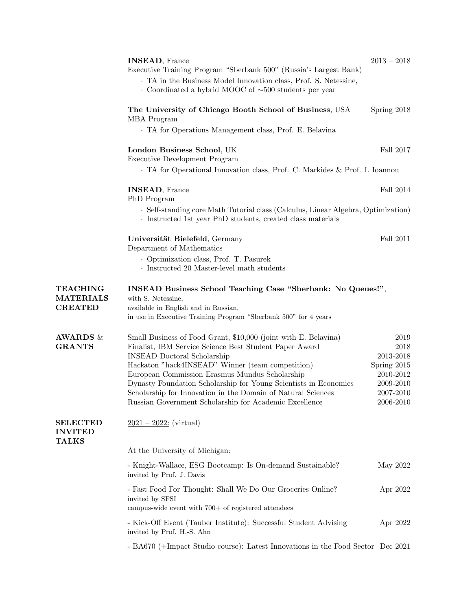|                                                       | <b>INSEAD, France</b><br>Executive Training Program "Sberbank 500" (Russia's Largest Bank)<br>. TA in the Business Model Innovation class, Prof. S. Netessine,<br>$\cdot$ Coordinated a hybrid MOOC of $\sim$ 500 students per year                                                                                                                                                                                                                                 | $2013 - 2018$                                                                                |
|-------------------------------------------------------|---------------------------------------------------------------------------------------------------------------------------------------------------------------------------------------------------------------------------------------------------------------------------------------------------------------------------------------------------------------------------------------------------------------------------------------------------------------------|----------------------------------------------------------------------------------------------|
|                                                       | The University of Chicago Booth School of Business, USA<br>MBA Program                                                                                                                                                                                                                                                                                                                                                                                              | Spring 2018                                                                                  |
|                                                       | . TA for Operations Management class, Prof. E. Belavina                                                                                                                                                                                                                                                                                                                                                                                                             |                                                                                              |
|                                                       | London Business School, UK<br>Executive Development Program                                                                                                                                                                                                                                                                                                                                                                                                         | Fall 2017                                                                                    |
|                                                       | . TA for Operational Innovation class, Prof. C. Markides & Prof. I. Ioannou                                                                                                                                                                                                                                                                                                                                                                                         |                                                                                              |
|                                                       | <b>INSEAD, France</b><br>Fall 2014<br>PhD Program<br>· Self-standing core Math Tutorial class (Calculus, Linear Algebra, Optimization)<br>· Instructed 1st year PhD students, created class materials                                                                                                                                                                                                                                                               |                                                                                              |
|                                                       |                                                                                                                                                                                                                                                                                                                                                                                                                                                                     |                                                                                              |
|                                                       | Universität Bielefeld, Germany<br>Department of Mathematics                                                                                                                                                                                                                                                                                                                                                                                                         | Fall 2011                                                                                    |
|                                                       | Optimization class, Prof. T. Pasurek<br>· Instructed 20 Master-level math students                                                                                                                                                                                                                                                                                                                                                                                  |                                                                                              |
| <b>TEACHING</b><br><b>MATERIALS</b><br><b>CREATED</b> | INSEAD Business School Teaching Case "Sberbank: No Queues!",<br>with S. Netessine,<br>available in English and in Russian,<br>in use in Executive Training Program "Sberbank 500" for 4 years                                                                                                                                                                                                                                                                       |                                                                                              |
| <b>AWARDS</b> &<br><b>GRANTS</b>                      | Small Business of Food Grant, \$10,000 (joint with E. Belavina)<br>Finalist, IBM Service Science Best Student Paper Award<br><b>INSEAD</b> Doctoral Scholarship<br>Hackaton "hack4INSEAD" Winner (team competition)<br>European Commission Erasmus Mundus Scholarship<br>Dynasty Foundation Scholarship for Young Scientists in Economics<br>Scholarship for Innovation in the Domain of Natural Sciences<br>Russian Government Scholarship for Academic Excellence | 2019<br>2018<br>2013-2018<br>Spring 2015<br>2010-2012<br>2009-2010<br>2007-2010<br>2006-2010 |
| <b>SELECTED</b><br><b>INVITED</b><br><b>TALKS</b>     | $2021 - 2022$ : (virtual)                                                                                                                                                                                                                                                                                                                                                                                                                                           |                                                                                              |
|                                                       | At the University of Michigan:                                                                                                                                                                                                                                                                                                                                                                                                                                      |                                                                                              |
|                                                       | - Knight-Wallace, ESG Bootcamp: Is On-demand Sustainable?<br>invited by Prof. J. Davis                                                                                                                                                                                                                                                                                                                                                                              | May 2022                                                                                     |
|                                                       | - Fast Food For Thought: Shall We Do Our Groceries Online?<br>invited by SFSI<br>campus-wide event with $700+$ of registered attendees                                                                                                                                                                                                                                                                                                                              | Apr 2022                                                                                     |
|                                                       | - Kick-Off Event (Tauber Institute): Successful Student Advising<br>invited by Prof. H.-S. Ahn                                                                                                                                                                                                                                                                                                                                                                      | Apr 2022                                                                                     |
|                                                       | - BA670 (+Impact Studio course): Latest Innovations in the Food Sector Dec 2021                                                                                                                                                                                                                                                                                                                                                                                     |                                                                                              |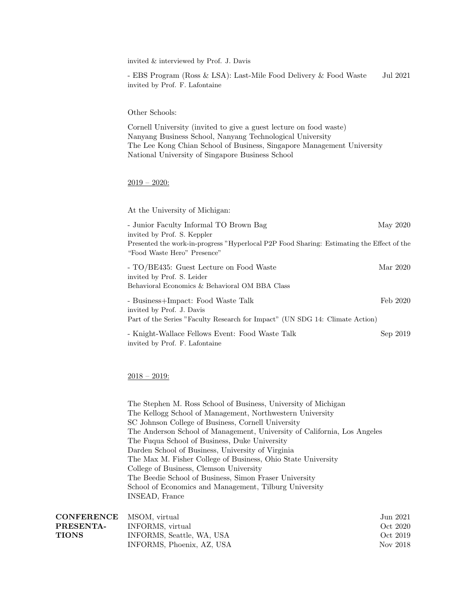invited & interviewed by Prof. J. Davis

- EBS Program (Ross & LSA): Last-Mile Food Delivery & Food Waste Jul 2021 invited by Prof. F. Lafontaine

## Other Schools:

Cornell University (invited to give a guest lecture on food waste) Nanyang Business School, Nanyang Technological University The Lee Kong Chian School of Business, Singapore Management University National University of Singapore Business School

## $2019 - 2020$ :

At the University of Michigan:

| - Junior Faculty Informal TO Brown Bag                                                    | May 2020 |
|-------------------------------------------------------------------------------------------|----------|
| invited by Prof. S. Keppler                                                               |          |
| Presented the work-in-progress "Hyperlocal P2P Food Sharing: Estimating the Effect of the |          |
| "Food Waste Hero" Presence"                                                               |          |
| - TO/BE435: Guest Lecture on Food Waste                                                   | Mar 2020 |
| invited by Prof. S. Leider                                                                |          |
| Behavioral Economics & Behavioral OM BBA Class                                            |          |
| - Business+Impact: Food Waste Talk                                                        | Feb 2020 |
| invited by Prof. J. Davis                                                                 |          |
| Part of the Series "Faculty Research for Impact" (UN SDG 14: Climate Action)              |          |
| - Knight-Wallace Fellows Event: Food Waste Talk                                           | Sep 2019 |
| invited by Prof. F. Lafontaine                                                            |          |

## $2018 - 2019$ :

The Stephen M. Ross School of Business, University of Michigan The Kellogg School of Management, Northwestern University SC Johnson College of Business, Cornell University The Anderson School of Management, University of California, Los Angeles The Fuqua School of Business, Duke University Darden School of Business, University of Virginia The Max M. Fisher College of Business, Ohio State University College of Business, Clemson University The Beedie School of Business, Simon Fraser University School of Economics and Management, Tilburg University INSEAD, France

| <b>CONFERENCE</b> MSOM. virtual |                           | Jun 2021 |
|---------------------------------|---------------------------|----------|
| <b>PRESENTA-</b>                | INFORMS, virtual          | Oct 2020 |
| TIONS                           | INFORMS, Seattle, WA, USA | Oct 2019 |
|                                 | INFORMS, Phoenix, AZ, USA | Nov 2018 |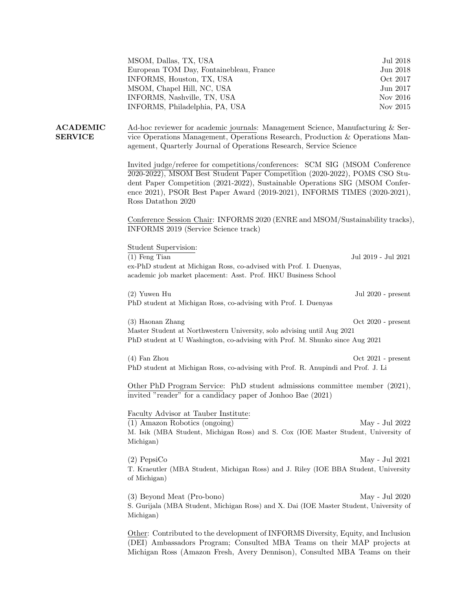| MSOM, Dallas, TX, USA                   | Jul 2018 |
|-----------------------------------------|----------|
| European TOM Day, Fontainebleau, France | Jun 2018 |
| INFORMS, Houston, TX, USA               | Oct 2017 |
| MSOM, Chapel Hill, NC, USA              | Jun 2017 |
| INFORMS, Nashville, TN, USA             | Nov 2016 |
| INFORMS, Philadelphia, PA, USA          | Nov 2015 |

ACADEMIC SERVICE Ad-hoc reviewer for academic journals: Management Science, Manufacturing & Service Operations Management, Operations Research, Production & Operations Management, Quarterly Journal of Operations Research, Service Science

> Invited judge/referee for competitions/conferences: SCM SIG (MSOM Conference 2020-2022), MSOM Best Student Paper Competition (2020-2022), POMS CSO Student Paper Competition (2021-2022), Sustainable Operations SIG (MSOM Conference 2021), PSOR Best Paper Award (2019-2021), INFORMS TIMES (2020-2021), Ross Datathon 2020

Conference Session Chair: INFORMS 2020 (ENRE and MSOM/Sustainability tracks), INFORMS 2019 (Service Science track)

| Student Supervision:                                                                                |                      |
|-----------------------------------------------------------------------------------------------------|----------------------|
| $(1)$ Feng Tian                                                                                     | Jul 2019 - Jul 2021  |
| ex-PhD student at Michigan Ross, co-advised with Prof. I. Duenyas,                                  |                      |
| academic job market placement: Asst. Prof. HKU Business School                                      |                      |
|                                                                                                     |                      |
| $(2)$ Yuwen Hu                                                                                      | Jul 2020 - present   |
| PhD student at Michigan Ross, co-advising with Prof. I. Duenyas                                     |                      |
|                                                                                                     |                      |
| (3) Haonan Zhang                                                                                    | $Oct 2020$ - present |
| Master Student at Northwestern University, solo advising until Aug 2021                             |                      |
| PhD student at U Washington, co-advising with Prof. M. Shunko since Aug 2021                        |                      |
|                                                                                                     |                      |
| $(4)$ Fan Zhou                                                                                      | $Oct 2021$ - present |
| PhD student at Michigan Ross, co-advising with Prof. R. Anupindi and Prof. J. Li                    |                      |
|                                                                                                     |                      |
| Other PhD Program Service: PhD student admissions committee member (2021),                          |                      |
| invited "reader" for a candidacy paper of Jonhoo Bae (2021)                                         |                      |
| Faculty Advisor at Tauber Institute:                                                                |                      |
| $(1)$ Amazon Robotics (ongoing)                                                                     | May - Jul 2022       |
|                                                                                                     |                      |
| M. Isik (MBA Student, Michigan Ross) and S. Cox (IOE Master Student, University of<br>Michigan)     |                      |
|                                                                                                     |                      |
| $(2)$ PepsiCo                                                                                       | May - Jul 2021       |
| T. Kraeutler (MBA Student, Michigan Ross) and J. Riley (IOE BBA Student, University                 |                      |
| of Michigan)                                                                                        |                      |
|                                                                                                     |                      |
|                                                                                                     |                      |
|                                                                                                     |                      |
| (3) Beyond Meat (Pro-bono)                                                                          | May - Jul 2020       |
| S. Gurijala (MBA Student, Michigan Ross) and X. Dai (IOE Master Student, University of<br>Michigan) |                      |

Other: Contributed to the development of INFORMS Diversity, Equity, and Inclusion (DEI) Ambassadors Program; Consulted MBA Teams on their MAP projects at Michigan Ross (Amazon Fresh, Avery Dennison), Consulted MBA Teams on their